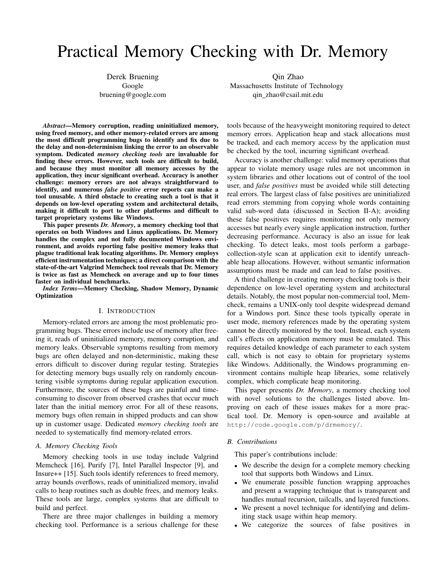# Practical Memory Checking with Dr. Memory

Derek Bruening Google bruening@google.com

Qin Zhao Massachusetts Institute of Technology qin zhao@csail.mit.edu

*Abstract*—Memory corruption, reading uninitialized memory, using freed memory, and other memory-related errors are among the most difficult programming bugs to identify and fix due to the delay and non-determinism linking the error to an observable symptom. Dedicated *memory checking tools* are invaluable for finding these errors. However, such tools are difficult to build, and because they must monitor all memory accesses by the application, they incur significant overhead. Accuracy is another challenge: memory errors are not always straightforward to identify, and numerous *false positive* error reports can make a tool unusable. A third obstacle to creating such a tool is that it depends on low-level operating system and architectural details, making it difficult to port to other platforms and difficult to target proprietary systems like Windows.

This paper presents *Dr. Memory*, a memory checking tool that operates on both Windows and Linux applications. Dr. Memory handles the complex and not fully documented Windows environment, and avoids reporting false positive memory leaks that plague traditional leak locating algorithms. Dr. Memory employs efficient instrumentation techniques; a direct comparison with the state-of-the-art Valgrind Memcheck tool reveals that Dr. Memory is twice as fast as Memcheck on average and up to four times faster on individual benchmarks.

*Index Terms*—Memory Checking, Shadow Memory, Dynamic **Optimization** 

# I. INTRODUCTION

Memory-related errors are among the most problematic programming bugs. These errors include use of memory after freeing it, reads of uninitialized memory, memory corruption, and memory leaks. Observable symptoms resulting from memory bugs are often delayed and non-deterministic, making these errors difficult to discover during regular testing. Strategies for detecting memory bugs usually rely on randomly encountering visible symptoms during regular application execution. Furthermore, the sources of these bugs are painful and timeconsuming to discover from observed crashes that occur much later than the initial memory error. For all of these reasons, memory bugs often remain in shipped products and can show up in customer usage. Dedicated *memory checking tools* are needed to systematically find memory-related errors.

#### *A. Memory Checking Tools*

Memory checking tools in use today include Valgrind Memcheck [16], Purify [7], Intel Parallel Inspector [9], and Insure++ [15]. Such tools identify references to freed memory, array bounds overflows, reads of uninitialized memory, invalid calls to heap routines such as double frees, and memory leaks. These tools are large, complex systems that are difficult to build and perfect.

There are three major challenges in building a memory checking tool. Performance is a serious challenge for these tools because of the heavyweight monitoring required to detect memory errors. Application heap and stack allocations must be tracked, and each memory access by the application must be checked by the tool, incurring significant overhead.

Accuracy is another challenge: valid memory operations that appear to violate memory usage rules are not uncommon in system libraries and other locations out of control of the tool user, and *false positives* must be avoided while still detecting real errors. The largest class of false positives are uninitialized read errors stemming from copying whole words containing valid sub-word data (discussed in Section II-A); avoiding these false positives requires monitoring not only memory accesses but nearly every single application instruction, further decreasing performance. Accuracy is also an issue for leak checking. To detect leaks, most tools perform a garbagecollection-style scan at application exit to identify unreachable heap allocations. However, without semantic information assumptions must be made and can lead to false positives.

A third challenge in creating memory checking tools is their dependence on low-level operating system and architectural details. Notably, the most popular non-commercial tool, Memcheck, remains a UNIX-only tool despite widespread demand for a Windows port. Since these tools typically operate in user mode, memory references made by the operating system cannot be directly monitored by the tool. Instead, each system call's effects on application memory must be emulated. This requires detailed knowledge of each parameter to each system call, which is not easy to obtain for proprietary systems like Windows. Additionally, the Windows programming environment contains multiple heap libraries, some relatively complex, which complicate heap monitoring.

This paper presents *Dr. Memory*, a memory checking tool with novel solutions to the challenges listed above. Improving on each of these issues makes for a more practical tool. Dr. Memory is open-source and available at http://code.google.com/p/drmemory/.

#### *B. Contributions*

This paper's contributions include:

- We describe the design for a complete memory checking tool that supports both Windows and Linux.
- We enumerate possible function wrapping approaches and present a wrapping technique that is transparent and handles mutual recursion, tailcalls, and layered functions.
- We present a novel technique for identifying and delimiting stack usage within heap memory.
- We categorize the sources of false positives in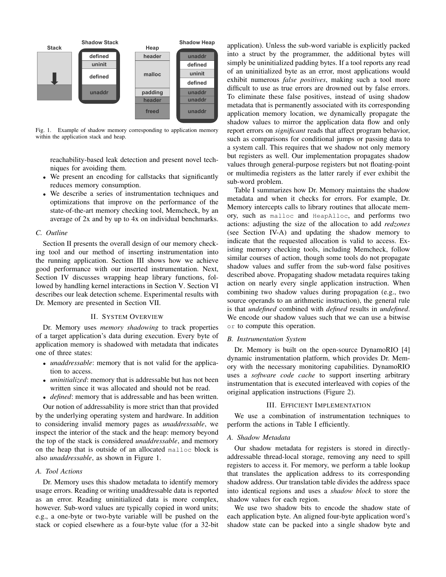

Fig. 1. Example of shadow memory corresponding to application memory within the application stack and heap.

reachability-based leak detection and present novel techniques for avoiding them.

- We present an encoding for callstacks that significantly reduces memory consumption.
- We describe a series of instrumentation techniques and optimizations that improve on the performance of the state-of-the-art memory checking tool, Memcheck, by an average of 2x and by up to 4x on individual benchmarks.

# *C. Outline*

Section II presents the overall design of our memory checking tool and our method of inserting instrumentation into the running application. Section III shows how we achieve good performance with our inserted instrumentation. Next, Section IV discusses wrapping heap library functions, followed by handling kernel interactions in Section V. Section VI describes our leak detection scheme. Experimental results with Dr. Memory are presented in Section VII.

## II. SYSTEM OVERVIEW

Dr. Memory uses *memory shadowing* to track properties of a target application's data during execution. Every byte of application memory is shadowed with metadata that indicates one of three states:

- *unaddressable*: memory that is not valid for the application to access.
- *uninitialized*: memory that is addressable but has not been written since it was allocated and should not be read.
- *defined*: memory that is addressable and has been written.

Our notion of addressability is more strict than that provided by the underlying operating system and hardware. In addition to considering invalid memory pages as *unaddressable*, we inspect the interior of the stack and the heap: memory beyond the top of the stack is considered *unaddressable*, and memory on the heap that is outside of an allocated malloc block is also *unaddressable*, as shown in Figure 1.

#### *A. Tool Actions*

Dr. Memory uses this shadow metadata to identify memory usage errors. Reading or writing unaddressable data is reported as an error. Reading uninitialized data is more complex, however. Sub-word values are typically copied in word units; e.g., a one-byte or two-byte variable will be pushed on the stack or copied elsewhere as a four-byte value (for a 32-bit

application). Unless the sub-word variable is explicitly packed into a struct by the programmer, the additional bytes will simply be uninitialized padding bytes. If a tool reports any read of an uninitialized byte as an error, most applications would exhibit numerous *false positives*, making such a tool more difficult to use as true errors are drowned out by false errors. To eliminate these false positives, instead of using shadow metadata that is permanently associated with its corresponding application memory location, we dynamically propagate the shadow values to mirror the application data flow and only report errors on *significant* reads that affect program behavior, such as comparisons for conditional jumps or passing data to a system call. This requires that we shadow not only memory but registers as well. Our implementation propagates shadow values through general-purpose registers but not floating-point or multimedia registers as the latter rarely if ever exhibit the sub-word problem.

Table I summarizes how Dr. Memory maintains the shadow metadata and when it checks for errors. For example, Dr. Memory intercepts calls to library routines that allocate memory, such as malloc and HeapAlloc, and performs two actions: adjusting the size of the allocation to add *redzones* (see Section IV-A) and updating the shadow memory to indicate that the requested allocation is valid to access. Existing memory checking tools, including Memcheck, follow similar courses of action, though some tools do not propagate shadow values and suffer from the sub-word false positives described above. Propagating shadow metadata requires taking action on nearly every single application instruction. When combining two shadow values during propagation (e.g., two source operands to an arithmetic instruction), the general rule is that *undefined* combined with *defined* results in *undefined*. We encode our shadow values such that we can use a bitwise or to compute this operation.

#### *B. Instrumentation System*

Dr. Memory is built on the open-source DynamoRIO [4] dynamic instrumentation platform, which provides Dr. Memory with the necessary monitoring capabilities. DynamoRIO uses a *software code cache* to support inserting arbitrary instrumentation that is executed interleaved with copies of the original application instructions (Figure 2).

#### III. EFFICIENT IMPLEMENTATION

We use a combination of instrumentation techniques to perform the actions in Table I efficiently.

#### *A. Shadow Metadata*

Our shadow metadata for registers is stored in directlyaddressable thread-local storage, removing any need to spill registers to access it. For memory, we perform a table lookup that translates the application address to its corresponding shadow address. Our translation table divides the address space into identical regions and uses a *shadow block* to store the shadow values for each region.

We use two shadow bits to encode the shadow state of each application byte. An aligned four-byte application word's shadow state can be packed into a single shadow byte and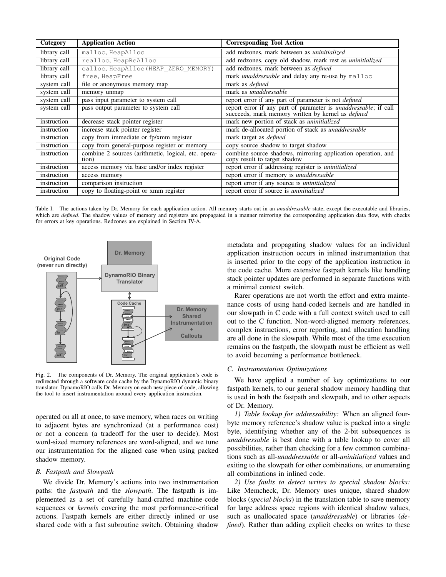| Category     | <b>Application Action</b>                                    | <b>Corresponding Tool Action</b>                                                                                                  |  |  |
|--------------|--------------------------------------------------------------|-----------------------------------------------------------------------------------------------------------------------------------|--|--|
| library call | malloc, HeapAlloc                                            | add redzones, mark between as uninitialized                                                                                       |  |  |
| library call | realloc, HeapReAlloc                                         | add redzones, copy old shadow, mark rest as <i>uninitialized</i>                                                                  |  |  |
| library call | calloc, HeapAlloc (HEAP_ZERO_MEMORY)                         | add redzones, mark between as <i>defined</i>                                                                                      |  |  |
| library call | free, HeapFree                                               | mark <i>unaddressable</i> and delay any re-use by malloc                                                                          |  |  |
| system call  | file or anonymous memory map                                 | mark as <i>defined</i>                                                                                                            |  |  |
| system call  | memory unmap                                                 | mark as <i>unaddressable</i>                                                                                                      |  |  |
| system call  | pass input parameter to system call                          | report error if any part of parameter is not <i>defined</i>                                                                       |  |  |
| system call  | pass output parameter to system call                         | report error if any part of parameter is <i>unaddressable</i> ; if call succeeds, mark memory written by kernel as <i>defined</i> |  |  |
| instruction  | decrease stack pointer register                              | mark new portion of stack as uninitialized                                                                                        |  |  |
| instruction  | increase stack pointer register                              | mark de-allocated portion of stack as <i>unaddressable</i>                                                                        |  |  |
| instruction  | copy from immediate or fp/xmm register                       | mark target as <i>defined</i>                                                                                                     |  |  |
| instruction  | copy from general-purpose register or memory                 | copy source shadow to target shadow                                                                                               |  |  |
| instruction  | combine 2 sources (arithmetic, logical, etc. opera-<br>tion) | combine source shadows, mirroring application operation, and<br>copy result to target shadow                                      |  |  |
| instruction  | access memory via base and/or index register                 | report error if addressing register is uninitialized                                                                              |  |  |
| instruction  | access memory                                                | report error if memory is <i>unaddressable</i>                                                                                    |  |  |
| instruction  | comparison instruction                                       | report error if any source is <i>uninitialized</i>                                                                                |  |  |
| instruction  | copy to floating-point or xmm register                       | report error if source is <i>uninitialized</i>                                                                                    |  |  |

Table I. The actions taken by Dr. Memory for each application action. All memory starts out in an *unaddressable* state, except the executable and libraries, which are *defined*. The shadow values of memory and registers are propagated in a manner mirroring the corresponding application data flow, with checks for errors at key operations. Redzones are explained in Section IV-A.



translator. DynamoRIO calls Dr. Memory on each new piece of code, allowing Fig. 2. The components of Dr. Memory. The original application's code is redirected through a software code cache by the DynamoRIO dynamic binary the tool to insert instrumentation around every application instruction.

operated on all at once, to save memory, when races on writing to adjacent bytes are synchronized (at a performance cost) or not a concern (a tradeoff for the user to decide). Most word-sized memory references are word-aligned, and we tune our instrumentation for the aligned case when using packed shadow memory.

# *B. Fastpath and Slowpath*

We divide Dr. Memory's actions into two instrumentation paths: the *fastpath* and the *slowpath*. The fastpath is implemented as a set of carefully hand-crafted machine-code sequences or *kernels* covering the most performance-critical actions. Fastpath kernels are either directly inlined or use shared code with a fast subroutine switch. Obtaining shadow

metadata and propagating shadow values for an individual application instruction occurs in inlined instrumentation that is inserted prior to the copy of the application instruction in the code cache. More extensive fastpath kernels like handling stack pointer updates are performed in separate functions with a minimal context switch.

Rarer operations are not worth the effort and extra maintenance costs of using hand-coded kernels and are handled in our slowpath in C code with a full context switch used to call out to the C function. Non-word-aligned memory references, complex instructions, error reporting, and allocation handling are all done in the slowpath. While most of the time execution remains on the fastpath, the slowpath must be efficient as well to avoid becoming a performance bottleneck.

## *C. Instrumentation Optimizations*

We have applied a number of key optimizations to our fastpath kernels, to our general shadow memory handling that is used in both the fastpath and slowpath, and to other aspects of Dr. Memory.

*1) Table lookup for addressability:* When an aligned fourbyte memory reference's shadow value is packed into a single byte, identifying whether any of the 2-bit subsequences is *unaddressable* is best done with a table lookup to cover all possibilities, rather than checking for a few common combinations such as all-*unaddressable* or all-*uninitialized* values and exiting to the slowpath for other combinations, or enumerating all combinations in inlined code.

*2) Use faults to detect writes to special shadow blocks:* Like Memcheck, Dr. Memory uses unique, shared shadow blocks (*special blocks*) in the translation table to save memory for large address space regions with identical shadow values, such as unallocated space (*unaddressable*) or libraries (*defined*). Rather than adding explicit checks on writes to these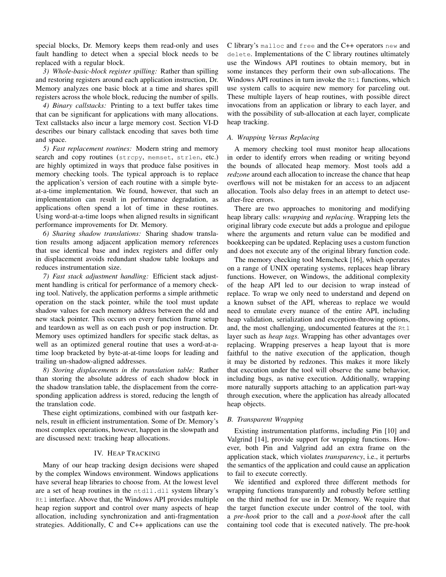special blocks, Dr. Memory keeps them read-only and uses fault handling to detect when a special block needs to be replaced with a regular block.

*3) Whole-basic-block register spilling:* Rather than spilling and restoring registers around each application instruction, Dr. Memory analyzes one basic block at a time and shares spill registers across the whole block, reducing the number of spills.

*4) Binary callstacks:* Printing to a text buffer takes time that can be significant for applications with many allocations. Text callstacks also incur a large memory cost. Section VI-D describes our binary callstack encoding that saves both time and space.

*5) Fast replacement routines:* Modern string and memory search and copy routines (strcpy, memset, strlen, etc.) are highly optimized in ways that produce false positives in memory checking tools. The typical approach is to replace the application's version of each routine with a simple byteat-a-time implementation. We found, however, that such an implementation can result in performance degradation, as applications often spend a lot of time in these routines. Using word-at-a-time loops when aligned results in significant performance improvements for Dr. Memory.

*6) Sharing shadow translations:* Sharing shadow translation results among adjacent application memory references that use identical base and index registers and differ only in displacement avoids redundant shadow table lookups and reduces instrumentation size.

*7) Fast stack adjustment handling:* Efficient stack adjustment handling is critical for performance of a memory checking tool. Natively, the application performs a simple arithmetic operation on the stack pointer, while the tool must update shadow values for each memory address between the old and new stack pointer. This occurs on every function frame setup and teardown as well as on each push or pop instruction. Dr. Memory uses optimized handlers for specific stack deltas, as well as an optimized general routine that uses a word-at-atime loop bracketed by byte-at-at-time loops for leading and trailing un-shadow-aligned addresses.

*8) Storing displacements in the translation table:* Rather than storing the absolute address of each shadow block in the shadow translation table, the displacement from the corresponding application address is stored, reducing the length of the translation code.

These eight optimizations, combined with our fastpath kernels, result in efficient instrumentation. Some of Dr. Memory's most complex operations, however, happen in the slowpath and are discussed next: tracking heap allocations.

#### IV. HEAP TRACKING

Many of our heap tracking design decisions were shaped by the complex Windows environment. Windows applications have several heap libraries to choose from. At the lowest level are a set of heap routines in the ntdll.dll system library's Rtl interface. Above that, the Windows API provides multiple heap region support and control over many aspects of heap allocation, including synchronization and anti-fragmentation strategies. Additionally, C and C++ applications can use the

C library's malloc and free and the C++ operators new and delete. Implementations of the C library routines ultimately use the Windows API routines to obtain memory, but in some instances they perform their own sub-allocations. The Windows API routines in turn invoke the  $Rt1$  functions, which use system calls to acquire new memory for parceling out. These multiple layers of heap routines, with possible direct invocations from an application or library to each layer, and with the possibility of sub-allocation at each layer, complicate heap tracking.

# *A. Wrapping Versus Replacing*

A memory checking tool must monitor heap allocations in order to identify errors when reading or writing beyond the bounds of allocated heap memory. Most tools add a *redzone* around each allocation to increase the chance that heap overflows will not be mistaken for an access to an adjacent allocation. Tools also delay frees in an attempt to detect useafter-free errors.

There are two approaches to monitoring and modifying heap library calls: *wrapping* and *replacing*. Wrapping lets the original library code execute but adds a prologue and epilogue where the arguments and return value can be modified and bookkeeping can be updated. Replacing uses a custom function and does not execute any of the original library function code.

The memory checking tool Memcheck [16], which operates on a range of UNIX operating systems, replaces heap library functions. However, on Windows, the additional complexity of the heap API led to our decision to wrap instead of replace. To wrap we only need to understand and depend on a known subset of the API, whereas to replace we would need to emulate every nuance of the entire API, including heap validation, serialization and exception-throwing options, and, the most challenging, undocumented features at the Rt1 layer such as *heap tags*. Wrapping has other advantages over replacing. Wrapping preserves a heap layout that is more faithful to the native execution of the application, though it may be distorted by redzones. This makes it more likely that execution under the tool will observe the same behavior, including bugs, as native execution. Additionally, wrapping more naturally supports attaching to an application part-way through execution, where the application has already allocated heap objects.

# *B. Transparent Wrapping*

Existing instrumentation platforms, including Pin [10] and Valgrind [14], provide support for wrapping functions. However, both Pin and Valgrind add an extra frame on the application stack, which violates *transparency*, i.e., it perturbs the semantics of the application and could cause an application to fail to execute correctly.

We identified and explored three different methods for wrapping functions transparently and robustly before settling on the third method for use in Dr. Memory. We require that the target function execute under control of the tool, with a *pre-hook* prior to the call and a *post-hook* after the call containing tool code that is executed natively. The pre-hook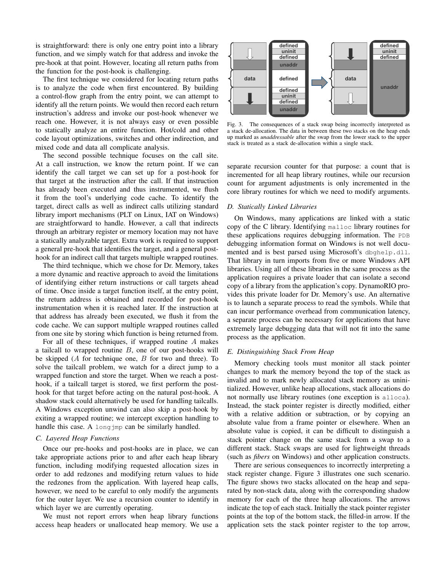is straightforward: there is only one entry point into a library function, and we simply watch for that address and invoke the pre-hook at that point. However, locating all return paths from the function for the post-hook is challenging.

The first technique we considered for locating return paths is to analyze the code when first encountered. By building a control-flow graph from the entry point, we can attempt to identify all the return points. We would then record each return instruction's address and invoke our post-hook whenever we reach one. However, it is not always easy or even possible to statically analyze an entire function. Hot/cold and other code layout optimizations, switches and other indirection, and mixed code and data all complicate analysis.

The second possible technique focuses on the call site. At a call instruction, we know the return point. If we can identify the call target we can set up for a post-hook for that target at the instruction after the call. If that instruction has already been executed and thus instrumented, we flush it from the tool's underlying code cache. To identify the target, direct calls as well as indirect calls utilizing standard library import mechanisms (PLT on Linux, IAT on Windows) are straightforward to handle. However, a call that indirects through an arbitrary register or memory location may not have a statically analyzable target. Extra work is required to support a general pre-hook that identifies the target, and a general posthook for an indirect call that targets multiple wrapped routines.

The third technique, which we chose for Dr. Memory, takes a more dynamic and reactive approach to avoid the limitations of identifying either return instructions or call targets ahead of time. Once inside a target function itself, at the entry point, the return address is obtained and recorded for post-hook instrumentation when it is reached later. If the instruction at that address has already been executed, we flush it from the code cache. We can support multiple wrapped routines called from one site by storing which function is being returned from.

For all of these techniques, if wrapped routine A makes a tailcall to wrapped routine  $B$ , one of our post-hooks will be skipped  $(A$  for technique one,  $B$  for two and three). To solve the tailcall problem, we watch for a direct jump to a wrapped function and store the target. When we reach a posthook, if a tailcall target is stored, we first perform the posthook for that target before acting on the natural post-hook. A shadow stack could alternatively be used for handling tailcalls. A Windows exception unwind can also skip a post-hook by exiting a wrapped routine; we intercept exception handling to handle this case. A long-lomp can be similarly handled.

#### *C. Layered Heap Functions*

Once our pre-hooks and post-hooks are in place, we can take appropriate actions prior to and after each heap library function, including modifying requested allocation sizes in order to add redzones and modifying return values to hide the redzones from the application. With layered heap calls, however, we need to be careful to only modify the arguments for the outer layer. We use a recursion counter to identify in which layer we are currently operating.

We must not report errors when heap library functions access heap headers or unallocated heap memory. We use a



up marked as *unaddressable* after the swap from the lower stack to the upper Fig. 3. The consequences of a stack swap being incorrectly interpreted as a stack de-allocation. The data in between these two stacks on the heap ends stack is treated as a stack de-allocation within a single stack.

separate recursion counter for that purpose: a count that is incremented for all heap library routines, while our recursion count for argument adjustments is only incremented in the core library routines for which we need to modify arguments.

#### *D. Statically Linked Libraries*

On Windows, many applications are linked with a static copy of the C library. Identifying malloc library routines for these applications requires debugging information. The PDB debugging information format on Windows is not well documented and is best parsed using Microsoft's dbghelp.dll. That library in turn imports from five or more Windows API libraries. Using all of these libraries in the same process as the application requires a private loader that can isolate a second copy of a library from the application's copy. DynamoRIO provides this private loader for Dr. Memory's use. An alternative is to launch a separate process to read the symbols. While that can incur performance overhead from communication latency, a separate process can be necessary for applications that have extremely large debugging data that will not fit into the same process as the application.

# *E. Distinguishing Stack From Heap*

Memory checking tools must monitor all stack pointer changes to mark the memory beyond the top of the stack as invalid and to mark newly allocated stack memory as uninitialized. However, unlike heap allocations, stack allocations do not normally use library routines (one exception is alloca). Instead, the stack pointer register is directly modified, either with a relative addition or subtraction, or by copying an absolute value from a frame pointer or elsewhere. When an absolute value is copied, it can be difficult to distinguish a stack pointer change on the same stack from a swap to a different stack. Stack swaps are used for lightweight threads (such as *fibers* on Windows) and other application constructs.

There are serious consequences to incorrectly interpreting a stack register change. Figure 3 illustrates one such scenario. The figure shows two stacks allocated on the heap and separated by non-stack data, along with the corresponding shadow memory for each of the three heap allocations. The arrows indicate the top of each stack. Initially the stack pointer register points at the top of the bottom stack, the filled-in arrow. If the application sets the stack pointer register to the top arrow,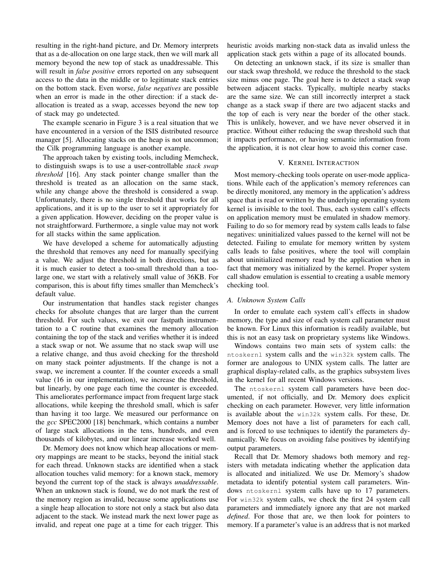resulting in the right-hand picture, and Dr. Memory interprets that as a de-allocation on one large stack, then we will mark all memory beyond the new top of stack as unaddressable. This will result in *false positive* errors reported on any subsequent access to the data in the middle or to legitimate stack entries on the bottom stack. Even worse, *false negatives* are possible when an error is made in the other direction: if a stack deallocation is treated as a swap, accesses beyond the new top of stack may go undetected.

The example scenario in Figure 3 is a real situation that we have encountered in a version of the ISIS distributed resource manager [5]. Allocating stacks on the heap is not uncommon; the Cilk programming language is another example.

The approach taken by existing tools, including Memcheck, to distinguish swaps is to use a user-controllable *stack swap threshold* [16]. Any stack pointer change smaller than the threshold is treated as an allocation on the same stack, while any change above the threshold is considered a swap. Unfortunately, there is no single threshold that works for all applications, and it is up to the user to set it appropriately for a given application. However, deciding on the proper value is not straightforward. Furthermore, a single value may not work for all stacks within the same application.

We have developed a scheme for automatically adjusting the threshold that removes any need for manually specifying a value. We adjust the threshold in both directions, but as it is much easier to detect a too-small threshold than a toolarge one, we start with a relatively small value of 36KB. For comparison, this is about fifty times smaller than Memcheck's default value.

Our instrumentation that handles stack register changes checks for absolute changes that are larger than the current threshold. For such values, we exit our fastpath instrumentation to a C routine that examines the memory allocation containing the top of the stack and verifies whether it is indeed a stack swap or not. We assume that no stack swap will use a relative change, and thus avoid checking for the threshold on many stack pointer adjustments. If the change is not a swap, we increment a counter. If the counter exceeds a small value (16 in our implementation), we increase the threshold, but linearly, by one page each time the counter is exceeded. This ameliorates performance impact from frequent large stack allocations, while keeping the threshold small, which is safer than having it too large. We measured our performance on the *gcc* SPEC2000 [18] benchmark, which contains a number of large stack allocations in the tens, hundreds, and even thousands of kilobytes, and our linear increase worked well.

Dr. Memory does not know which heap allocations or memory mappings are meant to be stacks, beyond the initial stack for each thread. Unknown stacks are identified when a stack allocation touches valid memory: for a known stack, memory beyond the current top of the stack is always *unaddressable*. When an unknown stack is found, we do not mark the rest of the memory region as invalid, because some applications use a single heap allocation to store not only a stack but also data adjacent to the stack. We instead mark the next lower page as invalid, and repeat one page at a time for each trigger. This

heuristic avoids marking non-stack data as invalid unless the application stack gets within a page of its allocated bounds.

On detecting an unknown stack, if its size is smaller than our stack swap threshold, we reduce the threshold to the stack size minus one page. The goal here is to detect a stack swap between adjacent stacks. Typically, multiple nearby stacks are the same size. We can still incorrectly interpret a stack change as a stack swap if there are two adjacent stacks and the top of each is very near the border of the other stack. This is unlikely, however, and we have never observed it in practice. Without either reducing the swap threshold such that it impacts performance, or having semantic information from the application, it is not clear how to avoid this corner case.

#### V. KERNEL INTERACTION

Most memory-checking tools operate on user-mode applications. While each of the application's memory references can be directly monitored, any memory in the application's address space that is read or written by the underlying operating system kernel is invisible to the tool. Thus, each system call's effects on application memory must be emulated in shadow memory. Failing to do so for memory read by system calls leads to false negatives: uninitialized values passed to the kernel will not be detected. Failing to emulate for memory written by system calls leads to false positives, where the tool will complain about uninitialized memory read by the application when in fact that memory was initialized by the kernel. Proper system call shadow emulation is essential to creating a usable memory checking tool.

# *A. Unknown System Calls*

In order to emulate each system call's effects in shadow memory, the type and size of each system call parameter must be known. For Linux this information is readily available, but this is not an easy task on proprietary systems like Windows.

Windows contains two main sets of system calls: the ntoskernl system calls and the win32k system calls. The former are analogous to UNIX system calls. The latter are graphical display-related calls, as the graphics subsystem lives in the kernel for all recent Windows versions.

The ntoskernl system call parameters have been documented, if not officially, and Dr. Memory does explicit checking on each parameter. However, very little information is available about the win32k system calls. For these, Dr. Memory does not have a list of parameters for each call, and is forced to use techniques to identify the parameters dynamically. We focus on avoiding false positives by identifying output parameters.

Recall that Dr. Memory shadows both memory and registers with metadata indicating whether the application data is allocated and initialized. We use Dr. Memory's shadow metadata to identify potential system call parameters. Windows ntoskernl system calls have up to 17 parameters. For win32k system calls, we check the first 24 system call parameters and immediately ignore any that are not marked *defined*. For those that are, we then look for pointers to memory. If a parameter's value is an address that is not marked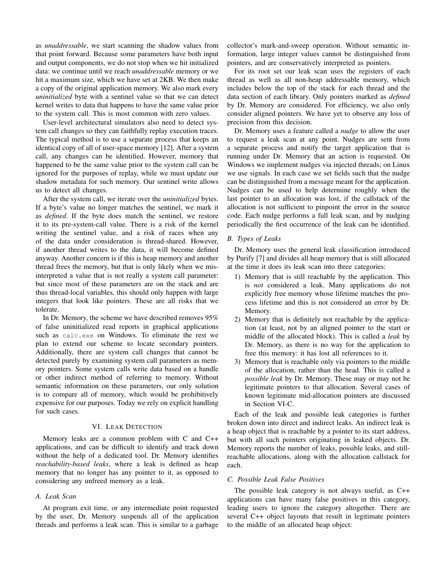as *unaddressable*, we start scanning the shadow values from that point forward. Because some parameters have both input and output components, we do not stop when we hit initialized data: we continue until we reach *unaddressable* memory or we hit a maximum size, which we have set at 2KB. We then make a copy of the original application memory. We also mark every *uninitialized* byte with a sentinel value so that we can detect kernel writes to data that happens to have the same value prior to the system call. This is most common with zero values.

User-level architectural simulators also need to detect system call changes so they can faithfully replay execution traces. The typical method is to use a separate process that keeps an identical copy of all of user-space memory [12]. After a system call, any changes can be identified. However, memory that happened to be the same value prior to the system call can be ignored for the purposes of replay, while we must update our shadow metadata for such memory. Our sentinel write allows us to detect all changes.

After the system call, we iterate over the *uninitialized* bytes. If a byte's value no longer matches the sentinel, we mark it as *defined*. If the byte does match the sentinel, we restore it to its pre-system-call value. There is a risk of the kernel writing the sentinel value, and a risk of races when any of the data under consideration is thread-shared. However, if another thread writes to the data, it will become defined anyway. Another concern is if this is heap memory and another thread frees the memory, but that is only likely when we misinterpreted a value that is not really a system call parameter: but since most of these parameters are on the stack and are thus thread-local variables, this should only happen with large integers that look like pointers. These are all risks that we tolerate.

In Dr. Memory, the scheme we have described removes 95% of false uninitialized read reports in graphical applications such as calc.exe on Windows. To eliminate the rest we plan to extend our scheme to locate secondary pointers. Additionally, there are system call changes that cannot be detected purely by examining system call parameters as memory pointers. Some system calls write data based on a handle or other indirect method of referring to memory. Without semantic information on these parameters, our only solution is to compare all of memory, which would be prohibitively expensive for our purposes. Today we rely on explicit handling for such cases.

#### VI. LEAK DETECTION

Memory leaks are a common problem with C and C++ applications, and can be difficult to identify and track down without the help of a dedicated tool. Dr. Memory identifies *reachability-based leaks*, where a leak is defined as heap memory that no longer has any pointer to it, as opposed to considering any unfreed memory as a leak.

# *A. Leak Scan*

At program exit time, or any intermediate point requested by the user, Dr. Memory suspends all of the application threads and performs a leak scan. This is similar to a garbage collector's mark-and-sweep operation. Without semantic information, large integer values cannot be distinguished from pointers, and are conservatively interpreted as pointers.

For its root set our leak scan uses the registers of each thread as well as all non-heap addressable memory, which includes below the top of the stack for each thread and the data section of each library. Only pointers marked as *defined* by Dr. Memory are considered. For efficiency, we also only consider aligned pointers. We have yet to observe any loss of precision from this decision.

Dr. Memory uses a feature called a *nudge* to allow the user to request a leak scan at any point. Nudges are sent from a separate process and notify the target application that is running under Dr. Memory that an action is requested. On Windows we implement nudges via injected threads; on Linux we use signals. In each case we set fields such that the nudge can be distinguished from a message meant for the application. Nudges can be used to help determine roughly when the last pointer to an allocation was lost, if the callstack of the allocation is not sufficient to pinpoint the error in the source code. Each nudge performs a full leak scan, and by nudging periodically the first occurrence of the leak can be identified.

#### *B. Types of Leaks*

Dr. Memory uses the general leak classification introduced by Purify [7] and divides all heap memory that is still allocated at the time it does its leak scan into three categories:

- 1) Memory that is still reachable by the application. This is *not* considered a leak. Many applications do not explicitly free memory whose lifetime matches the process lifetime and this is not considered an error by Dr. Memory.
- 2) Memory that is definitely not reachable by the application (at least, not by an aligned pointer to the start or middle of the allocated block). This is called a *leak* by Dr. Memory, as there is no way for the application to free this memory: it has lost all references to it.
- 3) Memory that is reachable only via pointers to the middle of the allocation, rather than the head. This is called a *possible leak* by Dr. Memory. These may or may not be legitimate pointers to that allocation. Several cases of known legitimate mid-allocation pointers are discussed in Section VI-C.

Each of the leak and possible leak categories is further broken down into direct and indirect leaks. An indirect leak is a heap object that is reachable by a pointer to its start address, but with all such pointers originating in leaked objects. Dr. Memory reports the number of leaks, possible leaks, and stillreachable allocations, along with the allocation callstack for each.

## *C. Possible Leak False Positives*

The possible leak category is not always useful, as C++ applications can have many false positives in this category, leading users to ignore the category altogether. There are several C++ object layouts that result in legitimate pointers to the middle of an allocated heap object: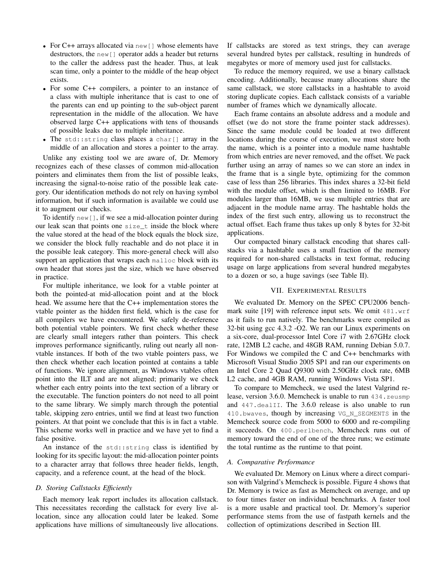- For C++ arrays allocated via new [] whose elements have destructors, the new[] operator adds a header but returns to the caller the address past the header. Thus, at leak scan time, only a pointer to the middle of the heap object exists.
- For some C++ compilers, a pointer to an instance of a class with multiple inheritance that is cast to one of the parents can end up pointing to the sub-object parent representation in the middle of the allocation. We have observed large C++ applications with tens of thousands of possible leaks due to multiple inheritance.
- The std::string class places a char[] array in the middle of an allocation and stores a pointer to the array.

Unlike any existing tool we are aware of, Dr. Memory recognizes each of these classes of common mid-allocation pointers and eliminates them from the list of possible leaks, increasing the signal-to-noise ratio of the possible leak category. Our identification methods do not rely on having symbol information, but if such information is available we could use it to augment our checks.

To identify new[], if we see a mid-allocation pointer during our leak scan that points one size\_t inside the block where the value stored at the head of the block equals the block size, we consider the block fully reachable and do not place it in the possible leak category. This more-general check will also support an application that wraps each malloc block with its own header that stores just the size, which we have observed in practice.

For multiple inheritance, we look for a vtable pointer at both the pointed-at mid-allocation point and at the block head. We assume here that the C++ implementation stores the vtable pointer as the hidden first field, which is the case for all compilers we have encountered. We safely de-reference both potential vtable pointers. We first check whether these are clearly small integers rather than pointers. This check improves performance significantly, ruling out nearly all nonvtable instances. If both of the two vtable pointers pass, we then check whether each location pointed at contains a table of functions. We ignore alignment, as Windows vtables often point into the ILT and are not aligned; primarily we check whether each entry points into the text section of a library or the executable. The function pointers do not need to all point to the same library. We simply march through the potential table, skipping zero entries, until we find at least two function pointers. At that point we conclude that this is in fact a vtable. This scheme works well in practice and we have yet to find a false positive.

An instance of the std::string class is identified by looking for its specific layout: the mid-allocation pointer points to a character array that follows three header fields, length, capacity, and a reference count, at the head of the block.

# *D. Storing Callstacks Efficiently*

Each memory leak report includes its allocation callstack. This necessitates recording the callstack for every live allocation, since any allocation could later be leaked. Some applications have millions of simultaneously live allocations. If callstacks are stored as text strings, they can average several hundred bytes per callstack, resulting in hundreds of megabytes or more of memory used just for callstacks.

To reduce the memory required, we use a binary callstack encoding. Additionally, because many allocations share the same callstack, we store callstacks in a hashtable to avoid storing duplicate copies. Each callstack consists of a variable number of frames which we dynamically allocate.

Each frame contains an absolute address and a module and offset (we do not store the frame pointer stack addresses). Since the same module could be loaded at two different locations during the course of execution, we must store both the name, which is a pointer into a module name hashtable from which entries are never removed, and the offset. We pack further using an array of names so we can store an index in the frame that is a single byte, optimizing for the common case of less than 256 libraries. This index shares a 32-bit field with the module offset, which is then limited to 16MB. For modules larger than 16MB, we use multiple entries that are adjacent in the module name array. The hashtable holds the index of the first such entry, allowing us to reconstruct the actual offset. Each frame thus takes up only 8 bytes for 32-bit applications.

Our compacted binary callstack encoding that shares callstacks via a hashtable uses a small fraction of the memory required for non-shared callstacks in text format, reducing usage on large applications from several hundred megabytes to a dozen or so, a huge savings (see Table II).

# VII. EXPERIMENTAL RESULTS

We evaluated Dr. Memory on the SPEC CPU2006 benchmark suite [19] with reference input sets. We omit 481.wrf as it fails to run natively. The benchmarks were compiled as 32-bit using gcc 4.3.2 -O2. We ran our Linux experiments on a six-core, dual-processor Intel Core i7 with 2.67GHz clock rate, 12MB L2 cache, and 48GB RAM, running Debian 5.0.7. For Windows we compiled the C and C++ benchmarks with Microsoft Visual Studio 2005 SP1 and ran our experiments on an Intel Core 2 Quad Q9300 with 2.50GHz clock rate, 6MB L2 cache, and 4GB RAM, running Windows Vista SP1.

To compare to Memcheck, we used the latest Valgrind release, version 3.6.0. Memcheck is unable to run 434.zeusmp and 447.dealII. The 3.6.0 release is also unable to run 410.bwaves, though by increasing VG\_N\_SEGMENTS in the Memcheck source code from 5000 to 6000 and re-compiling it succeeds. On 400.perlbench, Memcheck runs out of memory toward the end of one of the three runs; we estimate the total runtime as the runtime to that point.

# *A. Comparative Performance*

We evaluated Dr. Memory on Linux where a direct comparison with Valgrind's Memcheck is possible. Figure 4 shows that Dr. Memory is twice as fast as Memcheck on average, and up to four times faster on individual benchmarks. A faster tool is a more usable and practical tool. Dr. Memory's superior performance stems from the use of fastpath kernels and the collection of optimizations described in Section III.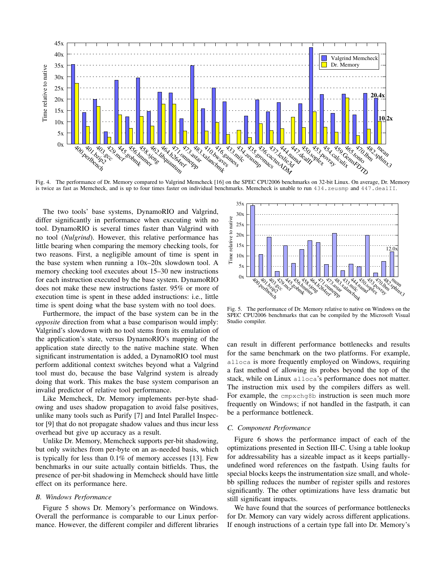

Fig. 4. The performance of Dr. Memory compared to Valgrind Memcheck [16] on the SPEC CPU2006 benchmarks on 32-bit Linux. On average, Dr. Memory is twice as fast as Memcheck, and is up to four times faster on individual benchmarks. Memcheck is unable to run 434. zeusmp and 447. dealII.

The two tools' base systems, DynamoRIO and Valgrind, differ significantly in performance when executing with no tool. DynamoRIO is several times faster than Valgrind with no tool (*Nulgrind*). However, this relative performance has little bearing when comparing the memory checking tools, for two reasons. First, a negligible amount of time is spent in the base system when running a 10x–20x slowdown tool. A memory checking tool executes about 15–30 new instructions for each instruction executed by the base system. DynamoRIO does not make these new instructions faster. 95% or more of execution time is spent in these added instructions: i.e., little time is spent doing what the base system with no tool does.

Furthermore, the impact of the base system can be in the *opposite* direction from what a base comparison would imply: Valgrind's slowdown with no tool stems from its emulation of the application's state, versus DynamoRIO's mapping of the application state directly to the native machine state. When significant instrumentation is added, a DynamoRIO tool must perform additional context switches beyond what a Valgrind tool must do, because the base Valgrind system is already doing that work. This makes the base system comparison an invalid predictor of relative tool performance.

Like Memcheck, Dr. Memory implements per-byte shadowing and uses shadow propagation to avoid false positives, unlike many tools such as Purify [7] and Intel Parallel Inspector [9] that do not propagate shadow values and thus incur less overhead but give up accuracy as a result.

Unlike Dr. Memory, Memcheck supports per-bit shadowing, but only switches from per-byte on an as-needed basis, which is typically for less than 0.1% of memory accesses [13]. Few benchmarks in our suite actually contain bitfields. Thus, the presence of per-bit shadowing in Memcheck should have little effect on its performance here.

## *B. Windows Performance*

Figure 5 shows Dr. Memory's performance on Windows. Overall the performance is comparable to our Linux performance. However, the different compiler and different libraries



Fig. 5. The performance of Dr. Memory relative to native on Windows on the SPEC CPU2006 benchmarks that can be compiled by the Microsoft Visual Studio compiler.

can result in different performance bottlenecks and results for the same benchmark on the two platforms. For example, alloca is more frequently employed on Windows, requiring a fast method of allowing its probes beyond the top of the stack, while on Linux alloca's performance does not matter. The instruction mix used by the compilers differs as well. For example, the cmpxchg8b instruction is seen much more frequently on Windows; if not handled in the fastpath, it can be a performance bottleneck.

#### *C. Component Performance*

Figure 6 shows the performance impact of each of the optimizations presented in Section III-C. Using a table lookup for addressability has a sizeable impact as it keeps partiallyundefined word references on the fastpath. Using faults for special blocks keeps the instrumentation size small, and wholebb spilling reduces the number of register spills and restores significantly. The other optimizations have less dramatic but still significant impacts.

We have found that the sources of performance bottlenecks for Dr. Memory can vary widely across different applications. If enough instructions of a certain type fall into Dr. Memory's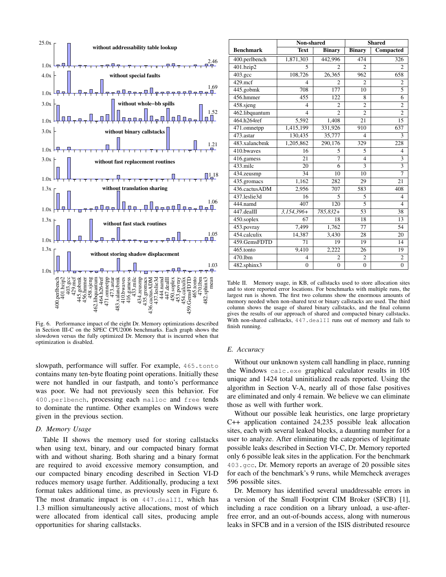

Fig. 6. Performance impact of the eight Dr. Memory optimizations described in Section III-C on the SPEC CPU2006 benchmarks. Each graph shows the slowdown versus the fully optimized Dr. Memory that is incurred when that optimization is disabled.

slowpath, performance will suffer. For example, 465.tonto contains many ten-byte floating point operations. Initially these were not handled in our fastpath, and tonto's performance was poor. We had not previously seen this behavior. For 400.perlbench, processing each malloc and free tends to dominate the runtime. Other examples on Windows were given in the previous section.

#### *D. Memory Usage*

Table II shows the memory used for storing callstacks when using text, binary, and our compacted binary format with and without sharing. Both sharing and a binary format are required to avoid excessive memory consumption, and our compacted binary encoding described in Section VI-D reduces memory usage further. Additionally, producing a text format takes additional time, as previously seen in Figure 6. The most dramatic impact is on 447.dealII, which has 1.3 million simultaneously active allocations, most of which were allocated from identical call sites, producing ample opportunities for sharing callstacks.

|                          | Non-shared     |                | <b>Shared</b>            |                         |
|--------------------------|----------------|----------------|--------------------------|-------------------------|
| <b>Benchmark</b>         | <b>Text</b>    | <b>Binary</b>  | <b>Binary</b>            | Compacted               |
| 400.perlbench            | 1,871,303      | 442,996        | 474                      | 326                     |
| 401.bzip2                | 5              | $\mathfrak{D}$ | $\mathfrak{D}$           | $\overline{c}$          |
| 403.gcc                  | 108,726        | 26,365         | 962                      | 658                     |
| $429$ .mcf               | $\overline{4}$ | $\overline{c}$ | $\overline{c}$           | $\overline{c}$          |
| 445.gobmk                | 708            | 177            | 10                       | 5                       |
| 456.hmmer                | 455            | 122            | 8                        | 6                       |
| 458.sjeng                | 4              | $\overline{2}$ | $\overline{c}$           | $\overline{c}$          |
| 462.libquantum           | $\overline{4}$ | $\overline{2}$ | $\overline{c}$           | $\overline{2}$          |
| 464.h264ref              | 5,592          | 1,408          | 21                       | 15                      |
| 471.omnetpp              | 1,415,199      | 331,926        | 910                      | 637                     |
| 473.astar                | 130,435        | 35,777         | 4                        | 3                       |
| 483.xalancbmk            | 1,205,862      | 290,176        | 329                      | 228                     |
| 410.bwaves               | 16             | 5              | 5                        | $\overline{4}$          |
| $\overline{416}$ .gamess | 21             | 7              | $\overline{\mathcal{L}}$ | 3                       |
| $433$ .milc              | 20             | 6              | 3                        | $\overline{\mathbf{3}}$ |
| 434.zeusmp               | 34             | 10             | 10                       | $\overline{7}$          |
| 435.gromacs              | 1,162          | 282            | 29                       | 21                      |
| 436.cactusADM            | 2,956          | 707            | 583                      | 408                     |
| 437.leslie3d             | 16             | 5              | 5                        | $\overline{4}$          |
| 444.namd                 | 407            | 120            | $\overline{5}$           | $\overline{4}$          |
| 447.dealII               | $3,154,396+$   | 785,832+       | 53                       | 38                      |
| 450.soplex               | 67             | 18             | 18                       | 13                      |
| 453.povray               | 7,499          | 1,762          | 77                       | 54                      |
| 454.calculix             | 14,387         | 3,430          | 28                       | 20                      |
| 459.GemsFDTD             | 71             | 19             | 19                       | 14                      |
| 465.tonto                | 9,410          | 2,222          | 26                       | 19                      |
| 470.1bm                  | $\overline{4}$ | $\overline{2}$ | $\overline{c}$           | $\overline{c}$          |
| $482$ .sphinx3           | $\mathbf{0}$   | $\overline{0}$ | $\overline{0}$           | $\overline{0}$          |

Table II. Memory usage, in KB, of callstacks used to store allocation sites and to store reported error locations. For benchmarks with multiple runs, the largest run is shown. The first two columns show the enormous amounts of memory needed when non-shared text or binary callstacks are used. The third column shows the usage of shared binary callstacks, and the final column gives the results of our approach of shared and compacted binary callstacks. With non-shared callstacks, 447.dealII runs out of memory and fails to finish running.

#### *E. Accuracy*

Without our unknown system call handling in place, running the Windows calc.exe graphical calculator results in 105 unique and 1424 total uninitialized reads reported. Using the algorithm in Section V-A, nearly all of those false positives are eliminated and only 4 remain. We believe we can eliminate those as well with further work.

Without our possible leak heuristics, one large proprietary C++ application contained 24,235 possible leak allocation sites, each with several leaked blocks, a daunting number for a user to analyze. After eliminating the categories of legitimate possible leaks described in Section VI-C, Dr. Memory reported only 6 possible leak sites in the application. For the benchmark 403.gcc, Dr. Memory reports an average of 20 possible sites for each of the benchmark's 9 runs, while Memcheck averages 596 possible sites.

Dr. Memory has identified several unaddressable errors in a version of the Small Footprint CIM Broker (SFCB) [1], including a race condition on a library unload, a use-afterfree error, and an out-of-bounds access, along with numerous leaks in SFCB and in a version of the ISIS distributed resource